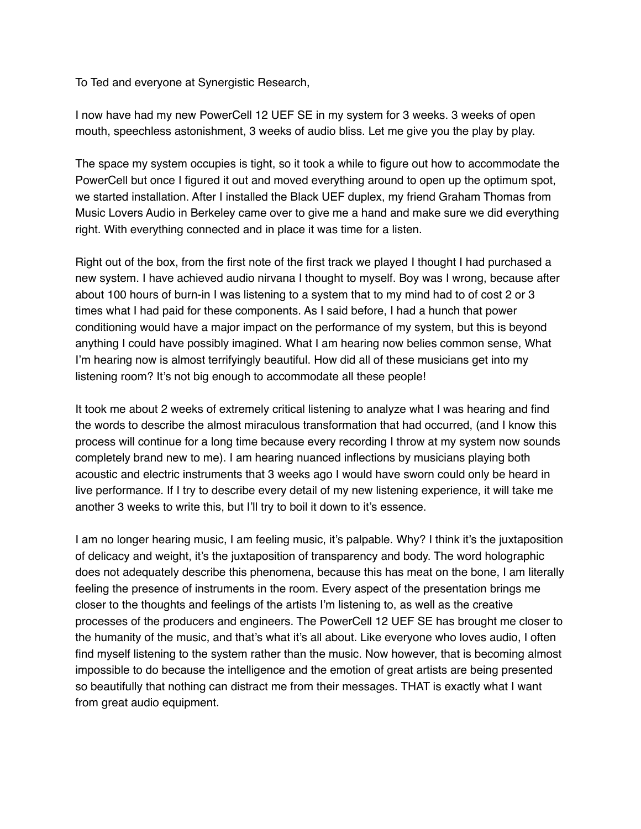To Ted and everyone at Synergistic Research,

I now have had my new PowerCell 12 UEF SE in my system for 3 weeks. 3 weeks of open mouth, speechless astonishment, 3 weeks of audio bliss. Let me give you the play by play.

The space my system occupies is tight, so it took a while to figure out how to accommodate the PowerCell but once I figured it out and moved everything around to open up the optimum spot, we started installation. After I installed the Black UEF duplex, my friend Graham Thomas from Music Lovers Audio in Berkeley came over to give me a hand and make sure we did everything right. With everything connected and in place it was time for a listen.

Right out of the box, from the first note of the first track we played I thought I had purchased a new system. I have achieved audio nirvana I thought to myself. Boy was I wrong, because after about 100 hours of burn-in I was listening to a system that to my mind had to of cost 2 or 3 times what I had paid for these components. As I said before, I had a hunch that power conditioning would have a major impact on the performance of my system, but this is beyond anything I could have possibly imagined. What I am hearing now belies common sense, What I'm hearing now is almost terrifyingly beautiful. How did all of these musicians get into my listening room? It's not big enough to accommodate all these people!

It took me about 2 weeks of extremely critical listening to analyze what I was hearing and find the words to describe the almost miraculous transformation that had occurred, (and I know this process will continue for a long time because every recording I throw at my system now sounds completely brand new to me). I am hearing nuanced inflections by musicians playing both acoustic and electric instruments that 3 weeks ago I would have sworn could only be heard in live performance. If I try to describe every detail of my new listening experience, it will take me another 3 weeks to write this, but I'll try to boil it down to it's essence.

I am no longer hearing music, I am feeling music, it's palpable. Why? I think it's the juxtaposition of delicacy and weight, it's the juxtaposition of transparency and body. The word holographic does not adequately describe this phenomena, because this has meat on the bone, I am literally feeling the presence of instruments in the room. Every aspect of the presentation brings me closer to the thoughts and feelings of the artists I'm listening to, as well as the creative processes of the producers and engineers. The PowerCell 12 UEF SE has brought me closer to the humanity of the music, and that's what it's all about. Like everyone who loves audio, I often find myself listening to the system rather than the music. Now however, that is becoming almost impossible to do because the intelligence and the emotion of great artists are being presented so beautifully that nothing can distract me from their messages. THAT is exactly what I want from great audio equipment.